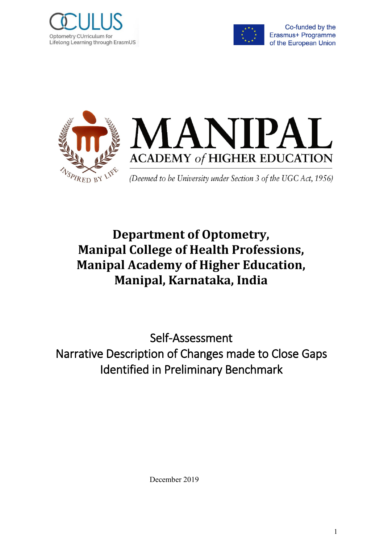



Co-funded by the Erasmus+ Programme of the European Union



# **Department of Optometry, Manipal College of Health Professions, Manipal Academy of Higher Education, Manipal, Karnataka, India**

Self-Assessment Narrative Description of Changes made to Close Gaps Identified in Preliminary Benchmark

December 2019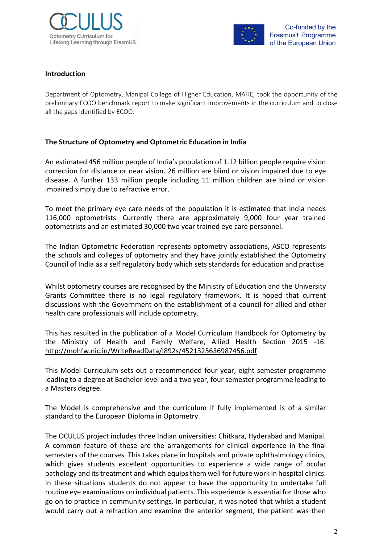



#### **Introduction**

Department of Optometry, Manipal College of Higher Education, MAHE, took the opportunity of the preliminary ECOO benchmark report to make significant improvements in the curriculum and to close all the gaps identified by ECOO.

## **The Structure of Optometry and Optometric Education in India**

An estimated 456 million people of India's population of 1.12 billion people require vision correction for distance or near vision. 26 million are blind or vision impaired due to eye disease. A further 133 million people including 11 million children are blind or vision impaired simply due to refractive error.

To meet the primary eye care needs of the population it is estimated that India needs 116,000 optometrists. Currently there are approximately 9,000 four year trained optometrists and an estimated 30,000 two year trained eye care personnel.

The Indian Optometric Federation represents optometry associations, ASCO represents the schools and colleges of optometry and they have jointly established the Optometry Council of India as a self regulatory body which sets standards for education and practise.

Whilst optometry courses are recognised by the Ministry of Education and the University Grants Committee there is no legal regulatory framework. It is hoped that current discussions with the Government on the establishment of a council for allied and other health care professionals will include optometry.

This has resulted in the publication of a Model Curriculum Handbook for Optometry by the Ministry of Health and Family Welfare, Allied Health Section 2015 -16. http://mohfw.nic.in/WriteReadData/l892s/4521325636987456.pdf

This Model Curriculum sets out a recommended four year, eight semester programme leading to a degree at Bachelor level and a two year, four semester programme leading to a Masters degree.

The Model is comprehensive and the curriculum if fully implemented is of a similar standard to the European Diploma in Optometry.

The OCULUS project includes three Indian universities: Chitkara, Hyderabad and Manipal. A common feature of these are the arrangements for clinical experience in the final semesters of the courses. This takes place in hospitals and private ophthalmology clinics, which gives students excellent opportunities to experience a wide range of ocular pathology and its treatment and which equips them well for future work in hospital clinics. In these situations students do not appear to have the opportunity to undertake full routine eye examinations on individual patients. This experience is essential for those who go on to practice in community settings. In particular, it was noted that whilst a student would carry out a refraction and examine the anterior segment, the patient was then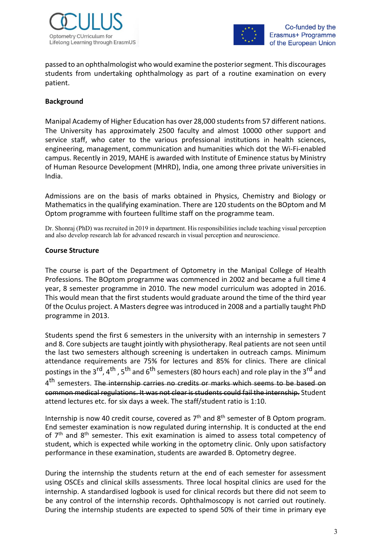



passed to an ophthalmologist who would examine the posterior segment. This discourages students from undertaking ophthalmology as part of a routine examination on every patient.

### **Background**

Manipal Academy of Higher Education has over 28,000 students from 57 different nations. The University has approximately 2500 faculty and almost 10000 other support and service staff, who cater to the various professional institutions in health sciences, engineering, management, communication and humanities which dot the Wi-Fi-enabled campus. Recently in 2019, MAHE is awarded with Institute of Eminence status by Ministry of Human Resource Development (MHRD), India, one among three private universities in India.

Admissions are on the basis of marks obtained in Physics, Chemistry and Biology or Mathematics in the qualifying examination. There are 120 students on the BOptom and M Optom programme with fourteen fulltime staff on the programme team.

Dr. Shonraj (PhD) was recruited in 2019 in department. His responsibilities include teaching visual perception and also develop research lab for advanced research in visual perception and neuroscience.

#### **Course Structure**

The course is part of the Department of Optometry in the Manipal College of Health Professions. The BOptom programme was commenced in 2002 and became a full time 4 year, 8 semester programme in 2010. The new model curriculum was adopted in 2016. This would mean that the first students would graduate around the time of the third year 0f the Oculus project. A Masters degree was introduced in 2008 and a partially taught PhD programme in 2013.

Students spend the first 6 semesters in the university with an internship in semesters 7 and 8. Core subjects are taught jointly with physiotherapy. Real patients are not seen until the last two semesters although screening is undertaken in outreach camps. Minimum attendance requirements are 75% for lectures and 85% for clinics. There are clinical postings in the 3<sup>rd</sup>, 4<sup>th</sup>, 5<sup>th</sup> and 6<sup>th</sup> semesters (80 hours each) and role play in the 3<sup>rd</sup> and 4<sup>th</sup> semesters. The internship carries no credits or marks which seems to be based on common medical regulations. It was not clear is students could fail the internship. Student attend lectures etc. for six days a week. The staff/student ratio is 1:10.

Internship is now 40 credit course, covered as  $7<sup>th</sup>$  and  $8<sup>th</sup>$  semester of B Optom program. End semester examination is now regulated during internship. It is conducted at the end of 7<sup>th</sup> and 8<sup>th</sup> semester. This exit examination is aimed to assess total competency of student, which is expected while working in the optometry clinic. Only upon satisfactory performance in these examination, students are awarded B. Optometry degree.

During the internship the students return at the end of each semester for assessment using OSCEs and clinical skills assessments. Three local hospital clinics are used for the internship. A standardised logbook is used for clinical records but there did not seem to be any control of the internship records. Ophthalmoscopy is not carried out routinely. During the internship students are expected to spend 50% of their time in primary eye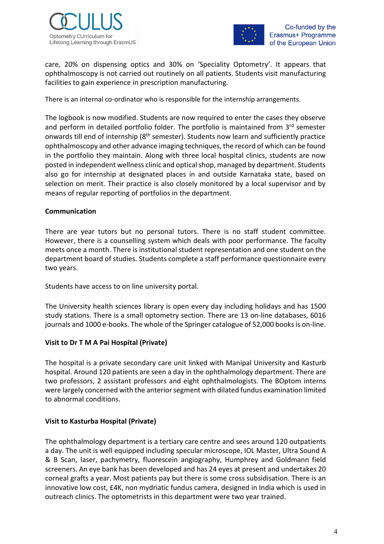



care, 20% on dispensing optics and 30% on 'Speciality Optometry'. It appears that ophthalmoscopy is not carried out routinely on all patients. Students visit manufacturing facilities to gain experience in prescription manufacturing.

There is an internal co-ordinator who is responsible for the internship arrangements.

The logbook is now modified. Students are now required to enter the cases they observe and perform in detailed portfolio folder. The portfolio is maintained from 3rd semester onwards till end of internship (8<sup>th</sup> semester). Students now learn and sufficiently practice ophthalmoscopy and other advance imaging techniques, the record of which can be found in the portfolio they maintain. Along with three local hospital clinics, students are now posted in independent wellness clinic and optical shop, managed by department. Students also go for internship at designated places in and outside Karnataka state, based on selection on merit. Their practice is also closely monitored by a local supervisor and by means of regular reporting of portfolios in the department.

### **Communication**

There are year tutors but no personal tutors. There is no staff student committee. However, there is a counselling system which deals with poor performance. The faculty meets once a month. There is institutional student representation and one student on the department board of studies. Students complete a staff performance questionnaire every two years.

Students have access to on line university portal.

The University health sciences library is open every day including holidays and has 1500 study stations. There is a small optometry section. There are 13 on-line databases, 6016 journals and 1000 e-books. The whole of the Springer catalogue of 52,000 books is on-line.

## **Visit to Dr T M A Pai Hospital (Private)**

The hospital is a private secondary care unit linked with Manipal University and Kasturb hospital. Around 120 patients are seen a day in the ophthalmology department. There are two professors, 2 assistant professors and eight ophthalmologists. The BOptom interns were largely concerned with the anterior segment with dilated fundus examination limited to abnormal conditions.

## **Visit to Kasturba Hospital (Private)**

The ophthalmology department is a tertiary care centre and sees around 120 outpatients a day. The unit is well equipped including specular microscope, IOL Master, Ultra Sound A & B Scan, laser, pachymetry, fluorescein angiography, Humphrey and Goldmann field screeners. An eye bank has been developed and has 24 eyes at present and undertakes 20 corneal grafts a year. Most patients pay but there is some cross subsidisation. There is an innovative low cost, £4K, non mydriatic fundus camera, designed in India which is used in outreach clinics. The optometrists in this department were two year trained.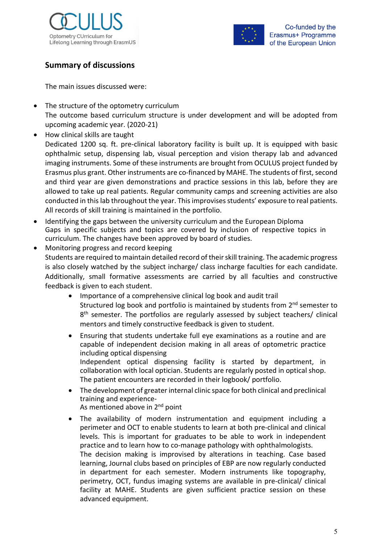



# **Summary of discussions**

The main issues discussed were:

- The structure of the optometry curriculum The outcome based curriculum structure is under development and will be adopted from upcoming academic year. (2020-21)
- How clinical skills are taught

Dedicated 1200 sq. ft. pre-clinical laboratory facility is built up. It is equipped with basic ophthalmic setup, dispensing lab, visual perception and vision therapy lab and advanced imaging instruments. Some of these instruments are brought from OCULUS project funded by Erasmus plus grant. Other instruments are co-financed by MAHE. The students of first, second and third year are given demonstrations and practice sessions in this lab, before they are allowed to take up real patients. Regular community camps and screening activities are also conducted in this lab throughout the year. This improvises students' exposure to real patients. All records of skill training is maintained in the portfolio.

- Identifying the gaps between the university curriculum and the European Diploma Gaps in specific subjects and topics are covered by inclusion of respective topics in curriculum. The changes have been approved by board of studies.
- Monitoring progress and record keeping Students are required to maintain detailed record of their skill training. The academic progress is also closely watched by the subject incharge/ class incharge faculties for each candidate. Additionally, small formative assessments are carried by all faculties and constructive feedback is given to each student.
	- Importance of a comprehensive clinical log book and audit trail Structured log book and portfolio is maintained by students from 2<sup>nd</sup> semester to 8<sup>th</sup> semester. The portfolios are regularly assessed by subject teachers/ clinical mentors and timely constructive feedback is given to student.
	- Ensuring that students undertake full eye examinations as a routine and are capable of independent decision making in all areas of optometric practice including optical dispensing Independent optical dispensing facility is started by department, in collaboration with local optician. Students are regularly posted in optical shop. The patient encounters are recorded in their logbook/ portfolio.
	- The development of greater internal clinic space for both clinical and preclinical training and experience-As mentioned above in 2<sup>nd</sup> point
	- The availability of modern instrumentation and equipment including a perimeter and OCT to enable students to learn at both pre-clinical and clinical levels. This is important for graduates to be able to work in independent practice and to learn how to co-manage pathology with ophthalmologists. The decision making is improvised by alterations in teaching. Case based learning, Journal clubs based on principles of EBP are now regularly conducted in department for each semester. Modern instruments like topography, perimetry, OCT, fundus imaging systems are available in pre-clinical/ clinical facility at MAHE. Students are given sufficient practice session on these advanced equipment.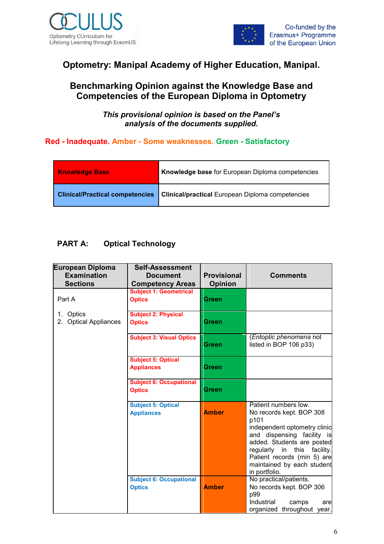



# **Optometry: Manipal Academy of Higher Education, Manipal.**

# **Benchmarking Opinion against the Knowledge Base and Competencies of the European Diploma in Optometry**

*This provisional opinion is based on the Panel's analysis of the documents supplied.*

## **Red - Inadequate. Amber - Some weaknesses. Green - Satisfactory**

| <b>Knowledge Base</b>                  | <b>Knowledge base</b> for European Diploma competencies |
|----------------------------------------|---------------------------------------------------------|
| <b>Clinical/Practical competencies</b> | <b>Clinical/practical</b> European Diploma competencies |

## **PART A: Optical Technology**

| <b>European Diploma</b><br><b>Examination</b>   | <b>Self-Assessment</b><br><b>Document</b>                | <b>Provisional</b> | <b>Comments</b>                                                                                                                                                                                                                                                   |  |
|-------------------------------------------------|----------------------------------------------------------|--------------------|-------------------------------------------------------------------------------------------------------------------------------------------------------------------------------------------------------------------------------------------------------------------|--|
| <b>Sections</b>                                 | <b>Competency Areas</b><br><b>Subject 1: Geometrical</b> | <b>Opinion</b>     |                                                                                                                                                                                                                                                                   |  |
| Part A                                          | <b>Optics</b>                                            | Green              |                                                                                                                                                                                                                                                                   |  |
| Optics<br>1.<br><b>Optical Appliances</b><br>2. | <b>Subject 2: Physical</b><br><b>Optics</b>              | Green              |                                                                                                                                                                                                                                                                   |  |
|                                                 | <b>Subject 3: Visual Optics</b>                          | Green              | (Entoptic phenomena not<br>listed in BOP 106 p33)                                                                                                                                                                                                                 |  |
|                                                 | <b>Subject 5: Optical</b><br><b>Appliances</b>           | Green              |                                                                                                                                                                                                                                                                   |  |
|                                                 | <b>Subject 6: Occupational</b><br><b>Optics</b>          | <b>Green</b>       |                                                                                                                                                                                                                                                                   |  |
|                                                 | <b>Subject 5: Optical</b><br><b>Appliances</b>           | <b>Amber</b>       | Patient numbers low.<br>No records kept. BOP 308<br>p101<br>independent optometry clinic<br>and dispensing facility is<br>added. Students are posted<br>regularly in this facility.<br>Patient records (min 5) are<br>maintained by each student<br>in portfolio. |  |
|                                                 | <b>Subject 6: Occupational</b><br><b>Optics</b>          | <b>Amber</b>       | No practical/patients.<br>No records kept. BOP 306<br>p99<br>Industrial<br>camps<br>are<br>organized throughout year.                                                                                                                                             |  |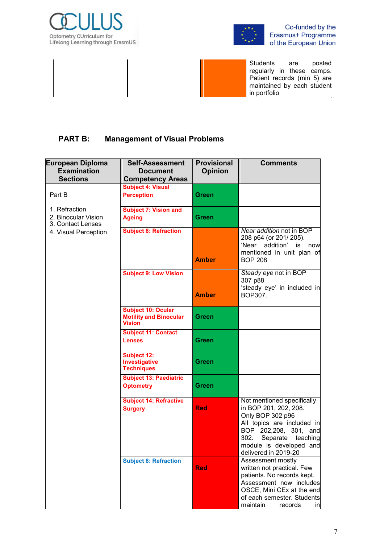



Co-funded by the Erasmus+ Programme<br>of the European Union

Students are posted regularly in these camps. Patient records (min 5) are maintained by each student in portfolio

# **PART B: Management of Visual Problems**

| <b>European Diploma</b><br><b>Examination</b><br><b>Sections</b> | <b>Self-Assessment</b><br><b>Document</b><br><b>Competency Areas</b>        | <b>Provisional</b><br><b>Opinion</b> | <b>Comments</b>                                                                                                                                                                                                   |  |  |
|------------------------------------------------------------------|-----------------------------------------------------------------------------|--------------------------------------|-------------------------------------------------------------------------------------------------------------------------------------------------------------------------------------------------------------------|--|--|
| Part B                                                           | <b>Subject 4: Visual</b><br><b>Perception</b>                               | Green                                |                                                                                                                                                                                                                   |  |  |
| 1. Refraction<br>2. Binocular Vision<br>3. Contact Lenses        | <b>Subject 7: Vision and</b><br><b>Ageing</b>                               | Green                                |                                                                                                                                                                                                                   |  |  |
| 4. Visual Perception                                             | <b>Subject 8: Refraction</b>                                                | <b>Amber</b>                         | Near addition not in BOP<br>208 p64 (or 201/205).<br>'Near addition'<br>is<br>now<br>mentioned in unit plan of<br><b>BOP 208</b>                                                                                  |  |  |
|                                                                  | <b>Subject 9: Low Vision</b>                                                | <b>Amber</b>                         | Steady eye not in BOP<br>307 p88<br>'steady eye' in included in<br>BOP307.                                                                                                                                        |  |  |
|                                                                  | <b>Subject 10: Ocular</b><br><b>Motility and Binocular</b><br><b>Vision</b> | Green                                |                                                                                                                                                                                                                   |  |  |
|                                                                  | <b>Subject 11: Contact</b><br><b>Lenses</b>                                 | Green                                |                                                                                                                                                                                                                   |  |  |
|                                                                  | <b>Subject 12:</b><br>Investigative<br><b>Techniques</b>                    | Green                                |                                                                                                                                                                                                                   |  |  |
|                                                                  | <b>Subject 13: Paediatric</b><br><b>Optometry</b>                           | Green                                |                                                                                                                                                                                                                   |  |  |
|                                                                  | <b>Subject 14: Refractive</b><br><b>Surgery</b>                             | <b>Red</b>                           | Not mentioned specifically<br>in BOP 201, 202, 208.<br>Only BOP 302 p96<br>All topics are included in<br>BOP 202,208, 301, and<br>302.<br>Separate<br>teaching<br>module is developed and<br>delivered in 2019-20 |  |  |
|                                                                  | <b>Subject 8: Refraction</b>                                                | <b>Red</b>                           | Assessment mostly<br>written not practical. Few<br>patients. No records kept.<br>Assessment now includes<br>OSCE, Mini CEx at the end<br>of each semester. Students<br>maintain<br>records<br>inl                 |  |  |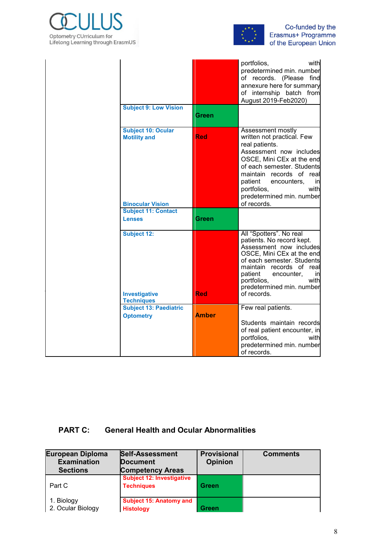



|                                                                             |              | with<br>portfolios,<br>predetermined min. number<br>of records. (Please find<br>annexure here for summary<br>of internship batch from<br>August 2019-Feb2020)                                                                                                                           |
|-----------------------------------------------------------------------------|--------------|-----------------------------------------------------------------------------------------------------------------------------------------------------------------------------------------------------------------------------------------------------------------------------------------|
| <b>Subject 9: Low Vision</b>                                                | Green        |                                                                                                                                                                                                                                                                                         |
| <b>Subject 10: Ocular</b><br><b>Motility and</b><br><b>Binocular Vision</b> | <b>Red</b>   | Assessment mostly<br>written not practical. Few<br>real patients.<br>Assessment now includes<br>OSCE, Mini CEx at the end<br>of each semester. Students<br>maintain records of real<br>patient<br>encounters,<br>inl<br>portfolios,<br>with<br>predetermined min. number<br>of records. |
| <b>Subject 11: Contact</b><br><b>Lenses</b>                                 | Green        |                                                                                                                                                                                                                                                                                         |
| <b>Subject 12:</b><br>Investigative<br><b>Techniques</b>                    | <b>Red</b>   | All "Spotters". No real<br>patients. No record kept.<br>Assessment now includes<br>OSCE, Mini CEx at the end<br>of each semester. Students<br>maintain records of real<br>patient<br>encounter,<br>inl<br>with<br>portfolios,<br>predetermined min. number<br>of records.               |
| <b>Subject 13: Paediatric</b>                                               |              | Few real patients.                                                                                                                                                                                                                                                                      |
| <b>Optometry</b>                                                            | <b>Amber</b> | Students maintain records<br>of real patient encounter, in<br>portfolios,<br>with<br>predetermined min. number<br>of records.                                                                                                                                                           |

# **PART C: General Health and Ocular Abnormalities**

| European Diploma<br><b>Examination</b><br><b>Sections</b> | <b>Self-Assessment</b><br><b>Document</b><br><b>Competency Areas</b> | <b>Provisional</b><br><b>Opinion</b> | <b>Comments</b> |
|-----------------------------------------------------------|----------------------------------------------------------------------|--------------------------------------|-----------------|
| Part C                                                    | <b>Subject 12: Investigative</b><br><b>Techniques</b>                | Green                                |                 |
| 1. Biology<br>2. Ocular Biology                           | <b>Subject 15: Anatomy and</b><br><b>Histology</b>                   | Green                                |                 |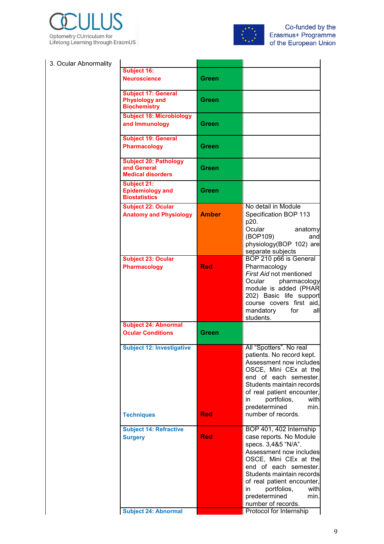



## 3. Ocular Abnormality

| <b>Subject 16:</b><br><b>Neuroscience</b>                                      | Green        |                                                                                                                                                                                                                                                                                                                          |
|--------------------------------------------------------------------------------|--------------|--------------------------------------------------------------------------------------------------------------------------------------------------------------------------------------------------------------------------------------------------------------------------------------------------------------------------|
| <b>Subject 17: General</b><br><b>Physiology and</b><br><b>Biochemistry</b>     | Green        |                                                                                                                                                                                                                                                                                                                          |
| <b>Subject 18: Microbiology</b><br>and Immunology                              | Green        |                                                                                                                                                                                                                                                                                                                          |
| <b>Subject 19: General</b><br><b>Pharmacology</b>                              | Green        |                                                                                                                                                                                                                                                                                                                          |
| <b>Subject 20: Pathology</b><br>and General<br><b>Medical disorders</b>        | Green        |                                                                                                                                                                                                                                                                                                                          |
| <b>Subject 21:</b><br><b>Epidemiology and</b><br><b>Biostatistics</b>          | Green        |                                                                                                                                                                                                                                                                                                                          |
| <b>Subject 22: Ocular</b><br><b>Anatomy and Physiology</b>                     | <b>Amber</b> | No detail in Module<br>Specification BOP 113<br>p20.<br>Ocular<br>anatomy<br>(BOP109)<br>and<br>physiology(BOP 102) are<br>separate subjects                                                                                                                                                                             |
| <b>Subject 23: Ocular</b><br><b>Pharmacology</b>                               | <b>Red</b>   | BOP 210 p66 is General<br>Pharmacology<br>First Aid not mentioned<br>Ocular<br>pharmacology<br>module is added (PHAR<br>202) Basic life support<br>course covers first aid.<br>mandatory for<br>all<br>students.                                                                                                         |
| <b>Subject 24: Abnormal</b>                                                    |              |                                                                                                                                                                                                                                                                                                                          |
| <b>Ocular Conditions</b>                                                       | Green        |                                                                                                                                                                                                                                                                                                                          |
| Subject 12: Investigative<br><b>Techniques</b>                                 | <b>Red</b>   | All "Spotters". No real<br>patients. No record kept.<br>Assessment now includes<br>OSCE, Mini CEx at the<br>end of each semester.<br>Students maintain records<br>of real patient encounter,<br>portfolios,<br>with<br>in<br>predetermined<br>min.<br>number of records.                                                 |
| <b>Subject 14: Refractive</b><br><b>Surgery</b><br><b>Subject 24: Abnormal</b> | <b>Red</b>   | BOP 401, 402 Internship<br>case reports. No Module<br>specs. 3,4&5 "N/A".<br>Assessment now includes<br>OSCE, Mini CEx at the<br>end of each semester.<br>Students maintain records<br>of real patient encounter,<br>in<br>portfolios,<br>with<br>predetermined<br>min.<br>number of records.<br>Protocol for Internship |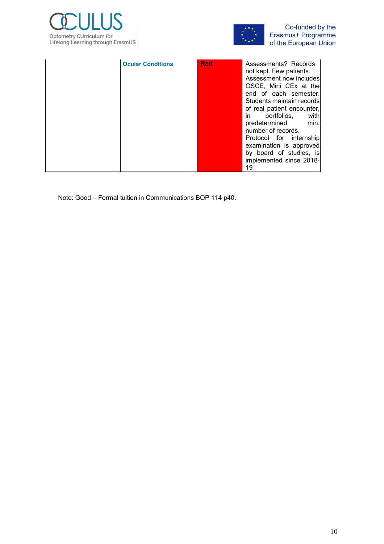



|  | <b>Ocular Conditions</b> | <b>Red</b> | Assessments? Records<br>not kept. Few patients.<br>Assessment now includes<br>OSCE, Mini CEx at the<br>end of each semester.<br>Students maintain records<br>of real patient encounter,<br>portfolios,<br>with<br>in<br>predetermined<br>min.<br>number of records.<br>Protocol for internship<br>examination is approved<br>by board of studies, is<br>implemented since 2018-<br>19 |
|--|--------------------------|------------|---------------------------------------------------------------------------------------------------------------------------------------------------------------------------------------------------------------------------------------------------------------------------------------------------------------------------------------------------------------------------------------|
|--|--------------------------|------------|---------------------------------------------------------------------------------------------------------------------------------------------------------------------------------------------------------------------------------------------------------------------------------------------------------------------------------------------------------------------------------------|

Note: Good – Formal tuition in Communications BOP 114 p40.